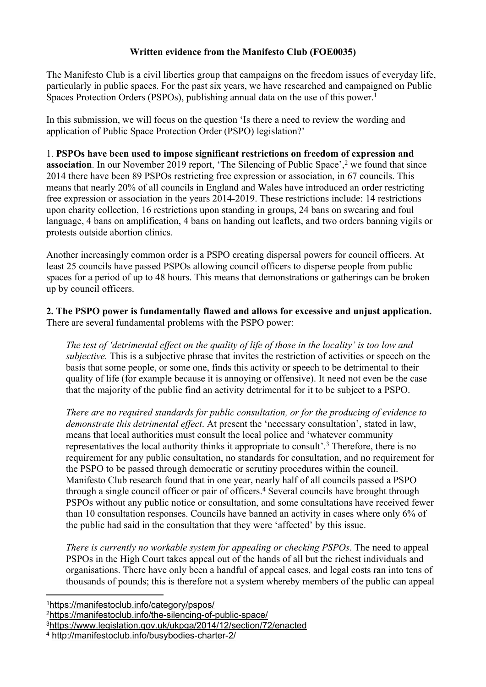## **Written evidence from the Manifesto Club (FOE0035)**

The Manifesto Club is a civil liberties group that campaigns on the freedom issues of everyday life, particularly in public spaces. For the past six years, we have researched and campaigned on Public Spaces Protection Orders (PSPOs), publishing annual data on the use of this power.<sup>1</sup>

In this submission, we will focus on the question 'Is there a need to review the wording and application of Public Space Protection Order (PSPO) legislation?'

1. **PSPOs have been used to impose significant restrictions on freedom of expression and association**. In our November 2019 report, 'The Silencing of Public Space',<sup>2</sup> we found that since 2014 there have been 89 PSPOs restricting free expression or association, in 67 councils. This means that nearly 20% of all councils in England and Wales have introduced an order restricting free expression or association in the years 2014-2019. These restrictions include: 14 restrictions upon charity collection, 16 restrictions upon standing in groups, 24 bans on swearing and foul language, 4 bans on amplification, 4 bans on handing out leaflets, and two orders banning vigils or protests outside abortion clinics.

Another increasingly common order is a PSPO creating dispersal powers for council officers. At least 25 councils have passed PSPOs allowing council officers to disperse people from public spaces for a period of up to 48 hours. This means that demonstrations or gatherings can be broken up by council officers.

**2. The PSPO power is fundamentally flawed and allows for excessive and unjust application.** There are several fundamental problems with the PSPO power:

The test of 'detrimental effect on the quality of life of those in the locality' is too low and *subjective.* This is a subjective phrase that invites the restriction of activities or speech on the basis that some people, or some one, finds this activity or speech to be detrimental to their quality of life (for example because it is annoying or offensive). It need not even be the case that the majority of the public find an activity detrimental for it to be subject to a PSPO.

*There are no required standards for public consultation, or for the producing of evidence to demonstrate this detrimental effect*. At present the 'necessary consultation', stated in law, means that local authorities must consult the local police and 'whatever community representatives the local authority thinks it appropriate to consult'.<sup>3</sup> Therefore, there is no requirement for any public consultation, no standards for consultation, and no requirement for the PSPO to be passed through democratic or scrutiny procedures within the council. Manifesto Club research found that in one year, nearly half of all councils passed a PSPO through a single council officer or pair of officers.<sup>4</sup> Several councils have brought through PSPOs without any public notice or consultation, and some consultations have received fewer than 10 consultation responses. Councils have banned an activity in cases where only 6% of the public had said in the consultation that they were 'affected' by this issue.

*There is currently no workable system for appealing or checking PSPOs*. The need to appeal PSPOs in the High Court takes appeal out of the hands of all but the richest individuals and organisations. There have only been a handful of appeal cases, and legal costs ran into tens of thousands of pounds; this is therefore not a system whereby members of the public can appeal

<sup>1</sup><https://manifestoclub.info/category/pspos/>

<sup>2</sup><https://manifestoclub.info/the-silencing-of-public-space/>

<sup>3</sup><https://www.legislation.gov.uk/ukpga/2014/12/section/72/enacted>

<sup>4</sup> <http://manifestoclub.info/busybodies-charter-2/>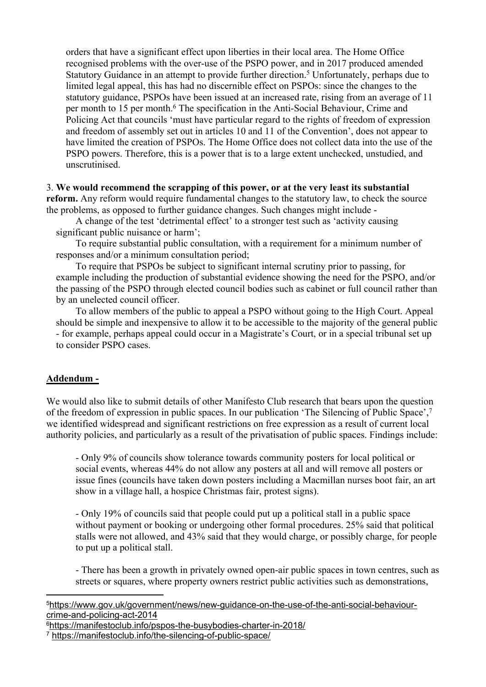orders that have a significant effect upon liberties in their local area. The Home Office recognised problems with the over-use of the PSPO power, and in 2017 produced amended Statutory Guidance in an attempt to provide further direction.<sup>5</sup> Unfortunately, perhaps due to limited legal appeal, this has had no discernible effect on PSPOs: since the changes to the statutory guidance, PSPOs have been issued at an increased rate, rising from an average of 11 per month to 15 per month.<sup>6</sup> The specification in the Anti-Social Behaviour, Crime and Policing Act that councils 'must have particular regard to the rights of freedom of expression and freedom of assembly set out in articles 10 and 11 of the Convention', does not appear to have limited the creation of PSPOs. The Home Office does not collect data into the use of the PSPO powers. Therefore, this is a power that is to a large extent unchecked, unstudied, and unscrutinised.

## 3. **We would recommend the scrapping of this power, or at the very least its substantial reform.** Any reform would require fundamental changes to the statutory law, to check the source the problems, as opposed to further guidance changes. Such changes might include -

A change of the test 'detrimental effect' to a stronger test such as 'activity causing significant public nuisance or harm';

To require substantial public consultation, with a requirement for a minimum number of responses and/or a minimum consultation period;

To require that PSPOs be subject to significant internal scrutiny prior to passing, for example including the production of substantial evidence showing the need for the PSPO, and/or the passing of the PSPO through elected council bodies such as cabinet or full council rather than by an unelected council officer.

To allow members of the public to appeal a PSPO without going to the High Court. Appeal should be simple and inexpensive to allow it to be accessible to the majority of the general public - for example, perhaps appeal could occur in a Magistrate's Court, or in a special tribunal set up to consider PSPO cases.

## **Addendum -**

We would also like to submit details of other Manifesto Club research that bears upon the question of the freedom of expression in public spaces. In our publication 'The Silencing of Public Space',<sup>7</sup> we identified widespread and significant restrictions on free expression as a result of current local authority policies, and particularly as a result of the privatisation of public spaces. Findings include:

- Only 9% of councils show tolerance towards community posters for local political or social events, whereas 44% do not allow any posters at all and will remove all posters or issue fines (councils have taken down posters including a Macmillan nurses boot fair, an art show in a village hall, a hospice Christmas fair, protest signs).

- Only 19% of councils said that people could put up a political stall in a public space without payment or booking or undergoing other formal procedures. 25% said that political stalls were not allowed, and 43% said that they would charge, or possibly charge, for people to put up a political stall.

- There has been a growth in privately owned open-air public spaces in town centres, such as streets or squares, where property owners restrict public activities such as demonstrations,

5[https://www.gov.uk/government/news/new-guidance-on-the-use-of-the-anti-social-behaviour](https://www.gov.uk/government/news/new-guidance-on-the-use-of-the-anti-social-behaviour-crime-and-policing-act-2014)[crime-and-policing-act-2014](https://www.gov.uk/government/news/new-guidance-on-the-use-of-the-anti-social-behaviour-crime-and-policing-act-2014)

<sup>6</sup><https://manifestoclub.info/pspos-the-busybodies-charter-in-2018/>

<sup>7</sup> <https://manifestoclub.info/the-silencing-of-public-space/>